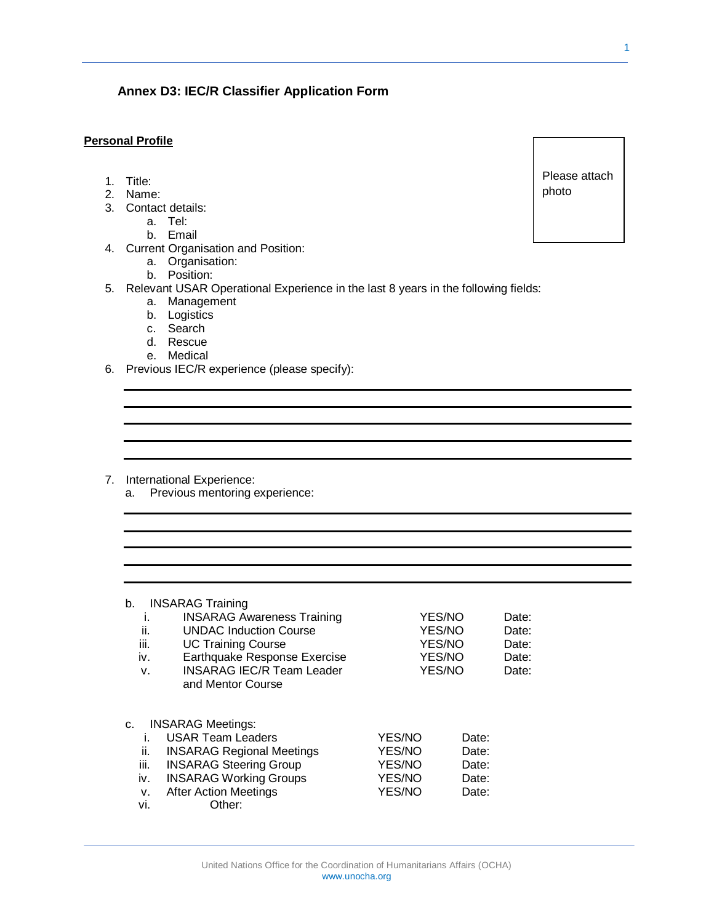## **Annex D3: IEC/R Classifier Application Form**

## **Personal Profile**

- 1. Title:
- 2. Name:
- 3. Contact details:
	- a. Tel:
		- b. Email
- 4. Current Organisation and Position:
	- a. Organisation:
	- b. Position:
- 5. Relevant USAR Operational Experience in the last 8 years in the following fields:
	- a. Management
	- b. Logistics
	- c. Search
	- d. Rescue
	- e. Medical
- 6. Previous IEC/R experience (please specify):

- 7. International Experience:
	- a. Previous mentoring experience:

| b.<br>۱.<br>ii.<br>iii.<br>İV.<br>v.       | <b>INSARAG Training</b><br><b>INSARAG Awareness Training</b><br><b>UNDAC Induction Course</b><br><b>UC Training Course</b><br>Earthquake Response Exercise<br><b>INSARAG IEC/R Team Leader</b><br>and Mentor Course | YES/NO<br>YES/NO<br>YES/NO<br>YES/NO<br>YES/NO        |                                           | Date:<br>Date:<br>Date:<br>Date:<br>Date: |
|--------------------------------------------|---------------------------------------------------------------------------------------------------------------------------------------------------------------------------------------------------------------------|-------------------------------------------------------|-------------------------------------------|-------------------------------------------|
| C.<br>İ.<br>Ħ.<br>iii.<br>iv.<br>v.<br>vi. | <b>INSARAG Meetings:</b><br><b>USAR Team Leaders</b><br><b>INSARAG Regional Meetings</b><br><b>INSARAG Steering Group</b><br><b>INSARAG Working Groups</b><br><b>After Action Meetings</b><br>Other:                | YES/NO<br>YES/NO<br>YES/NO<br><b>YES/NO</b><br>YES/NO | Date:<br>Date:<br>Date:<br>Date:<br>Date: |                                           |

Please attach photo